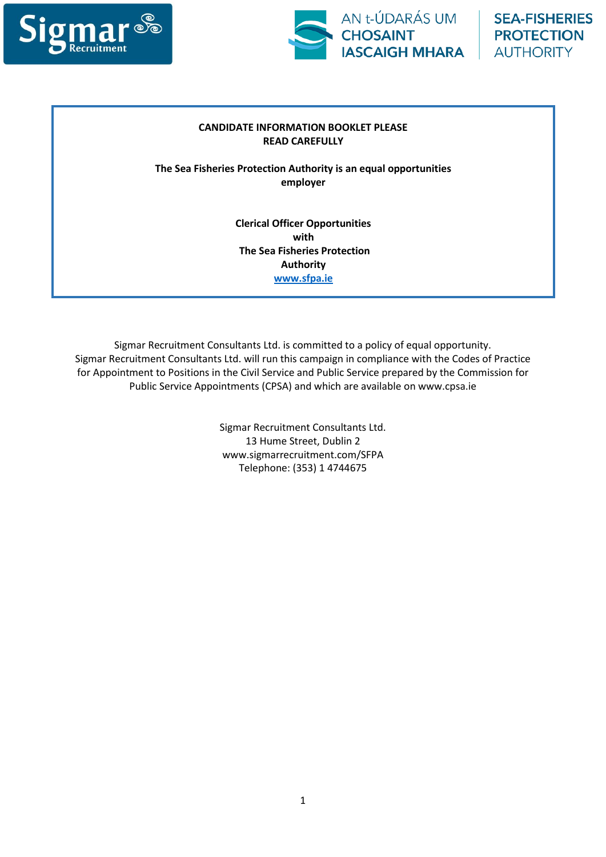



## **CANDIDATE INFORMATION BOOKLET PLEASE READ CAREFULLY**

**The Sea Fisheries Protection Authority is an equal opportunities employer**

> **Clerical Officer Opportunities with The Sea Fisheries Protection Authority [www.sfpa.ie](http://www.sfpa.ie/)**

Sigmar Recruitment Consultants Ltd. is committed to a policy of equal opportunity. Sigmar Recruitment Consultants Ltd. will run this campaign in compliance with the Codes of Practice for Appointment to Positions in the Civil Service and Public Service prepared by the Commission for Public Service Appointments (CPSA) and which are available on www.cpsa.ie

> Sigmar Recruitment Consultants Ltd. 13 Hume Street, Dublin 2 www.sigmarrecruitment.com/SFPA Telephone: (353) 1 4744675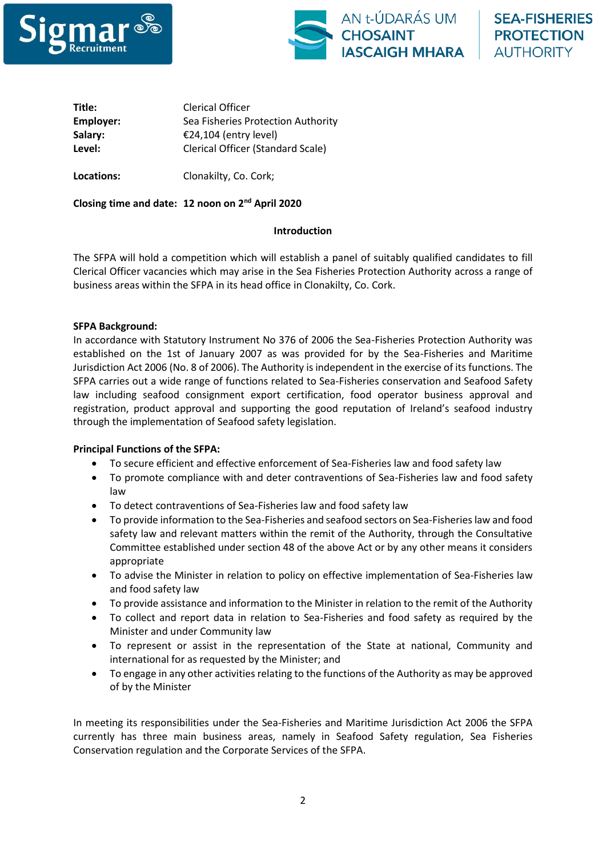



**Title:** Clerical Officer **Employer:** Sea Fisheries Protection Authority **Salary:** €24,104 (entry level) **Level:** Clerical Officer (Standard Scale)

**Locations:** Clonakilty, Co. Cork;

**Closing time and date: 12 noon on 2nd April 2020**

## **Introduction**

The SFPA will hold a competition which will establish a panel of suitably qualified candidates to fill Clerical Officer vacancies which may arise in the Sea Fisheries Protection Authority across a range of business areas within the SFPA in its head office in Clonakilty, Co. Cork.

## **SFPA Background:**

In accordance with Statutory Instrument No 376 of 2006 the Sea-Fisheries Protection Authority was established on the 1st of January 2007 as was provided for by the Sea-Fisheries and Maritime Jurisdiction Act 2006 (No. 8 of 2006). The Authority is independent in the exercise of its functions. The SFPA carries out a wide range of functions related to Sea-Fisheries conservation and Seafood Safety law including seafood consignment export certification, food operator business approval and registration, product approval and supporting the good reputation of Ireland's seafood industry through the implementation of Seafood safety legislation.

## **Principal Functions of the SFPA:**

- To secure efficient and effective enforcement of Sea-Fisheries law and food safety law
- To promote compliance with and deter contraventions of Sea-Fisheries law and food safety law
- To detect contraventions of Sea-Fisheries law and food safety law
- To provide information to the Sea-Fisheries and seafood sectors on Sea-Fisheries law and food safety law and relevant matters within the remit of the Authority, through the Consultative Committee established under section 48 of the above Act or by any other means it considers appropriate
- To advise the Minister in relation to policy on effective implementation of Sea-Fisheries law and food safety law
- To provide assistance and information to the Minister in relation to the remit of the Authority
- To collect and report data in relation to Sea-Fisheries and food safety as required by the Minister and under Community law
- To represent or assist in the representation of the State at national, Community and international for as requested by the Minister; and
- To engage in any other activities relating to the functions of the Authority as may be approved of by the Minister

In meeting its responsibilities under the Sea-Fisheries and Maritime Jurisdiction Act 2006 the SFPA currently has three main business areas, namely in Seafood Safety regulation, Sea Fisheries Conservation regulation and the Corporate Services of the SFPA.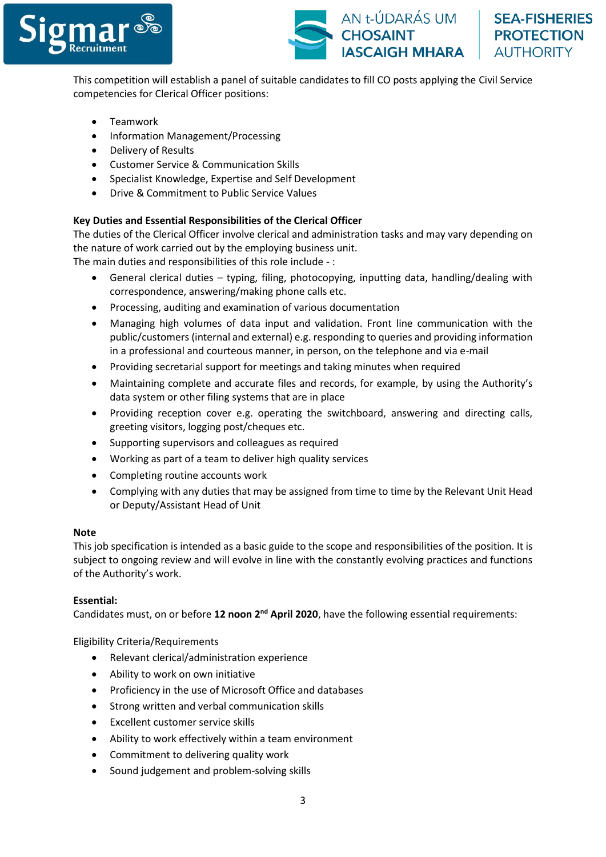



This competition will establish a panel of suitable candidates to fill CO posts applying the Civil Service competencies for Clerical Officer positions:

- Teamwork
- Information Management/Processing
- Delivery of Results
- Customer Service & Communication Skills
- Specialist Knowledge, Expertise and Self Development
- Drive & Commitment to Public Service Values

## **Key Duties and Essential Responsibilities of the Clerical Officer**

The duties of the Clerical Officer involve clerical and administration tasks and may vary depending on the nature of work carried out by the employing business unit.

The main duties and responsibilities of this role include - :

- General clerical duties typing, filing, photocopying, inputting data, handling/dealing with correspondence, answering/making phone calls etc.
- Processing, auditing and examination of various documentation
- Managing high volumes of data input and validation. Front line communication with the public/customers (internal and external) e.g. responding to queries and providing information in a professional and courteous manner, in person, on the telephone and via e-mail
- Providing secretarial support for meetings and taking minutes when required
- Maintaining complete and accurate files and records, for example, by using the Authority's data system or other filing systems that are in place
- Providing reception cover e.g. operating the switchboard, answering and directing calls, greeting visitors, logging post/cheques etc.
- Supporting supervisors and colleagues as required
- Working as part of a team to deliver high quality services
- Completing routine accounts work
- Complying with any duties that may be assigned from time to time by the Relevant Unit Head or Deputy/Assistant Head of Unit

#### **Note**

This job specification is intended as a basic guide to the scope and responsibilities of the position. It is subject to ongoing review and will evolve in line with the constantly evolving practices and functions of the Authority's work.

#### **Essential:**

Candidates must, on or before 12 noon 2<sup>nd</sup> April 2020, have the following essential requirements:

Eligibility Criteria/Requirements

- Relevant clerical/administration experience
- Ability to work on own initiative
- Proficiency in the use of Microsoft Office and databases
- Strong written and verbal communication skills
- Excellent customer service skills
- Ability to work effectively within a team environment
- Commitment to delivering quality work
- Sound judgement and problem-solving skills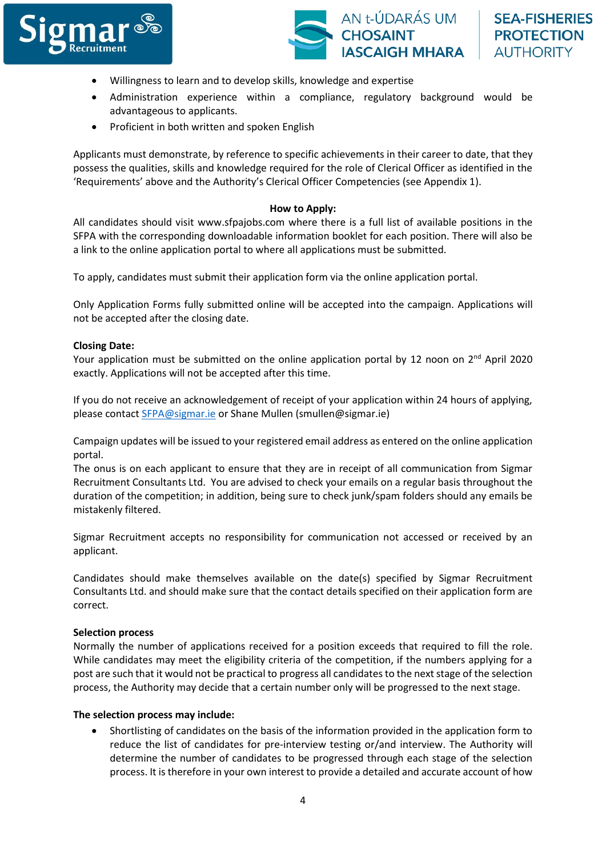



- Willingness to learn and to develop skills, knowledge and expertise
- Administration experience within a compliance, regulatory background would be advantageous to applicants.
- Proficient in both written and spoken English

Applicants must demonstrate, by reference to specific achievements in their career to date, that they possess the qualities, skills and knowledge required for the role of Clerical Officer as identified in the 'Requirements' above and the Authority's Clerical Officer Competencies (see Appendix 1).

#### **How to Apply:**

All candidates should visit www.sfpajobs.com where there is a full list of available positions in the SFPA with the corresponding downloadable information booklet for each position. There will also be a link to the online application portal to where all applications must be submitted.

To apply, candidates must submit their application form via the online application portal.

Only Application Forms fully submitted online will be accepted into the campaign. Applications will not be accepted after the closing date.

#### **Closing Date:**

Your application must be submitted on the online application portal by 12 noon on  $2^{nd}$  April 2020 exactly. Applications will not be accepted after this time.

If you do not receive an acknowledgement of receipt of your application within 24 hours of applying, please contact [SFPA@sigmar.ie](mailto:SFPA@sigmar.ie) or Shane Mullen (smullen@sigmar.ie)

Campaign updates will be issued to your registered email address as entered on the online application portal.

The onus is on each applicant to ensure that they are in receipt of all communication from Sigmar Recruitment Consultants Ltd. You are advised to check your emails on a regular basis throughout the duration of the competition; in addition, being sure to check junk/spam folders should any emails be mistakenly filtered.

Sigmar Recruitment accepts no responsibility for communication not accessed or received by an applicant.

Candidates should make themselves available on the date(s) specified by Sigmar Recruitment Consultants Ltd. and should make sure that the contact details specified on their application form are correct.

#### **Selection process**

Normally the number of applications received for a position exceeds that required to fill the role. While candidates may meet the eligibility criteria of the competition, if the numbers applying for a post are such that it would not be practical to progress all candidates to the next stage of the selection process, the Authority may decide that a certain number only will be progressed to the next stage.

#### **The selection process may include:**

• Shortlisting of candidates on the basis of the information provided in the application form to reduce the list of candidates for pre-interview testing or/and interview. The Authority will determine the number of candidates to be progressed through each stage of the selection process. It is therefore in your own interest to provide a detailed and accurate account of how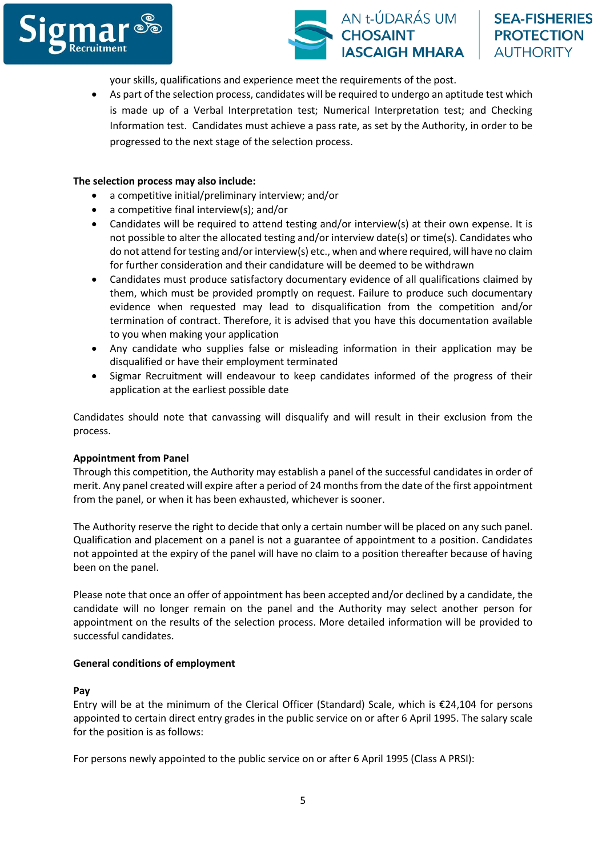



**SEA-FISHERIES PROTECTION AUTHORITY** 

your skills, qualifications and experience meet the requirements of the post.

• As part of the selection process, candidates will be required to undergo an aptitude test which is made up of a Verbal Interpretation test; Numerical Interpretation test; and Checking Information test. Candidates must achieve a pass rate, as set by the Authority, in order to be progressed to the next stage of the selection process.

## **The selection process may also include:**

- a competitive initial/preliminary interview; and/or
- a competitive final interview(s); and/or
- Candidates will be required to attend testing and/or interview(s) at their own expense. It is not possible to alter the allocated testing and/or interview date(s) or time(s). Candidates who do not attend for testing and/or interview(s) etc., when and where required, will have no claim for further consideration and their candidature will be deemed to be withdrawn
- Candidates must produce satisfactory documentary evidence of all qualifications claimed by them, which must be provided promptly on request. Failure to produce such documentary evidence when requested may lead to disqualification from the competition and/or termination of contract. Therefore, it is advised that you have this documentation available to you when making your application
- Any candidate who supplies false or misleading information in their application may be disqualified or have their employment terminated
- Sigmar Recruitment will endeavour to keep candidates informed of the progress of their application at the earliest possible date

Candidates should note that canvassing will disqualify and will result in their exclusion from the process.

#### **Appointment from Panel**

Through this competition, the Authority may establish a panel of the successful candidates in order of merit. Any panel created will expire after a period of 24 months from the date of the first appointment from the panel, or when it has been exhausted, whichever is sooner.

The Authority reserve the right to decide that only a certain number will be placed on any such panel. Qualification and placement on a panel is not a guarantee of appointment to a position. Candidates not appointed at the expiry of the panel will have no claim to a position thereafter because of having been on the panel.

Please note that once an offer of appointment has been accepted and/or declined by a candidate, the candidate will no longer remain on the panel and the Authority may select another person for appointment on the results of the selection process. More detailed information will be provided to successful candidates.

#### **General conditions of employment**

#### **Pay**

Entry will be at the minimum of the Clerical Officer (Standard) Scale, which is €24,104 for persons appointed to certain direct entry grades in the public service on or after 6 April 1995. The salary scale for the position is as follows:

For persons newly appointed to the public service on or after 6 April 1995 (Class A PRSI):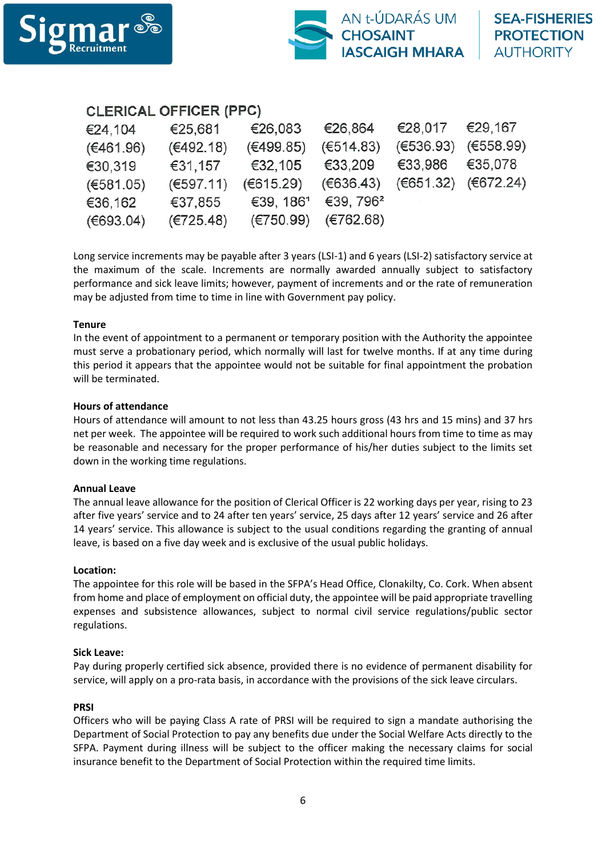

# CLERICAL OFFICER (PPC)

| €25,681   | €26,083               | €26,864               | €28,017   | €29,167                 |
|-----------|-----------------------|-----------------------|-----------|-------------------------|
| (€492.18) | (€499.85)             | (E514.83)             |           | $(€536.93)$ $(€558.99)$ |
| €31,157   | €32,105               | €33,209               |           |                         |
| (E597.11) |                       | (E636.43)             |           | (€651.32) (€672.24)     |
| €37,855   | €39, 186 <sup>1</sup> | €39, 796 <sup>2</sup> |           |                         |
| (E725.48) | (E750.99)             | (E762.68)             |           |                         |
|           |                       |                       | (€615.29) | €33,986 €35,078         |

Long service increments may be payable after 3 years (LSI-1) and 6 years (LSI-2) satisfactory service at the maximum of the scale. Increments are normally awarded annually subject to satisfactory performance and sick leave limits; however, payment of increments and or the rate of remuneration may be adjusted from time to time in line with Government pay policy.

## **Tenure**

In the event of appointment to a permanent or temporary position with the Authority the appointee must serve a probationary period, which normally will last for twelve months. If at any time during this period it appears that the appointee would not be suitable for final appointment the probation will be terminated.

## **Hours of attendance**

Hours of attendance will amount to not less than 43.25 hours gross (43 hrs and 15 mins) and 37 hrs net per week. The appointee will be required to work such additional hours from time to time as may be reasonable and necessary for the proper performance of his/her duties subject to the limits set down in the working time regulations.

## **Annual Leave**

The annual leave allowance for the position of Clerical Officer is 22 working days per year, rising to 23 after five years' service and to 24 after ten years' service, 25 days after 12 years' service and 26 after 14 years' service. This allowance is subject to the usual conditions regarding the granting of annual leave, is based on a five day week and is exclusive of the usual public holidays.

#### **Location:**

The appointee for this role will be based in the SFPA's Head Office, Clonakilty, Co. Cork. When absent from home and place of employment on official duty, the appointee will be paid appropriate travelling expenses and subsistence allowances, subject to normal civil service regulations/public sector regulations.

#### **Sick Leave:**

Pay during properly certified sick absence, provided there is no evidence of permanent disability for service, will apply on a pro-rata basis, in accordance with the provisions of the sick leave circulars.

#### **PRSI**

Officers who will be paying Class A rate of PRSI will be required to sign a mandate authorising the Department of Social Protection to pay any benefits due under the Social Welfare Acts directly to the SFPA. Payment during illness will be subject to the officer making the necessary claims for social insurance benefit to the Department of Social Protection within the required time limits.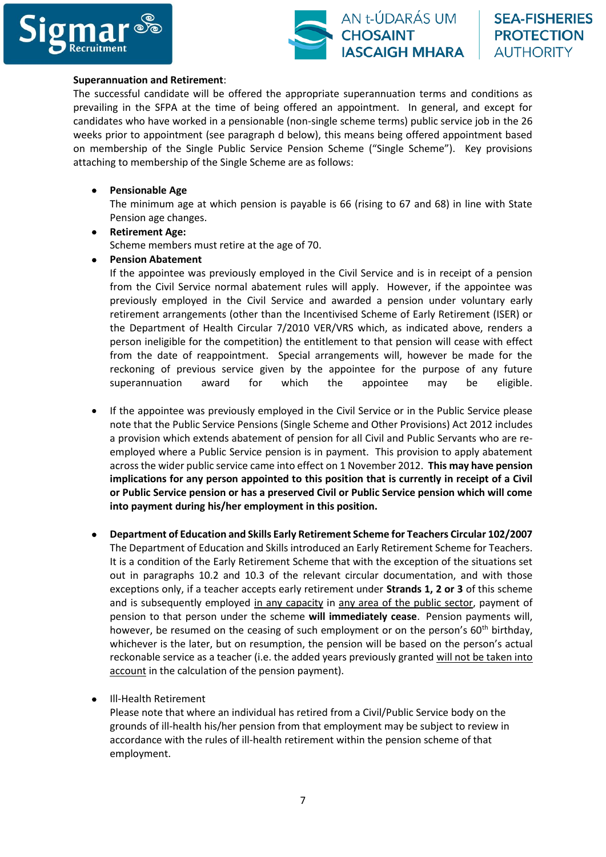



#### **Superannuation and Retirement**:

The successful candidate will be offered the appropriate superannuation terms and conditions as prevailing in the SFPA at the time of being offered an appointment. In general, and except for candidates who have worked in a pensionable (non-single scheme terms) public service job in the 26 weeks prior to appointment (see paragraph d below), this means being offered appointment based on membership of the Single Public Service Pension Scheme ("Single Scheme"). Key provisions attaching to membership of the Single Scheme are as follows:

#### • **Pensionable Age**

The minimum age at which pension is payable is 66 (rising to 67 and 68) in line with State Pension age changes.

- **Retirement Age:**  Scheme members must retire at the age of 70.
- **Pension Abatement**

If the appointee was previously employed in the Civil Service and is in receipt of a pension from the Civil Service normal abatement rules will apply. However, if the appointee was previously employed in the Civil Service and awarded a pension under voluntary early retirement arrangements (other than the Incentivised Scheme of Early Retirement (ISER) or the Department of Health Circular 7/2010 VER/VRS which, as indicated above, renders a person ineligible for the competition) the entitlement to that pension will cease with effect from the date of reappointment. Special arrangements will, however be made for the reckoning of previous service given by the appointee for the purpose of any future superannuation award for which the appointee may be eligible.

- If the appointee was previously employed in the Civil Service or in the Public Service please note that the Public Service Pensions (Single Scheme and Other Provisions) Act 2012 includes a provision which extends abatement of pension for all Civil and Public Servants who are reemployed where a Public Service pension is in payment. This provision to apply abatement across the wider public service came into effect on 1 November 2012. **This may have pension implications for any person appointed to this position that is currently in receipt of a Civil or Public Service pension or has a preserved Civil or Public Service pension which will come into payment during his/her employment in this position.**
- **Department of Education and Skills Early Retirement Scheme for Teachers Circular 102/2007** The Department of Education and Skills introduced an Early Retirement Scheme for Teachers. It is a condition of the Early Retirement Scheme that with the exception of the situations set out in paragraphs 10.2 and 10.3 of the relevant circular documentation, and with those exceptions only, if a teacher accepts early retirement under **Strands 1, 2 or 3** of this scheme and is subsequently employed in any capacity in any area of the public sector, payment of pension to that person under the scheme **will immediately cease**. Pension payments will, however, be resumed on the ceasing of such employment or on the person's 60<sup>th</sup> birthday, whichever is the later, but on resumption, the pension will be based on the person's actual reckonable service as a teacher (i.e. the added years previously granted will not be taken into account in the calculation of the pension payment).
- Ill-Health Retirement

Please note that where an individual has retired from a Civil/Public Service body on the grounds of ill-health his/her pension from that employment may be subject to review in accordance with the rules of ill-health retirement within the pension scheme of that employment.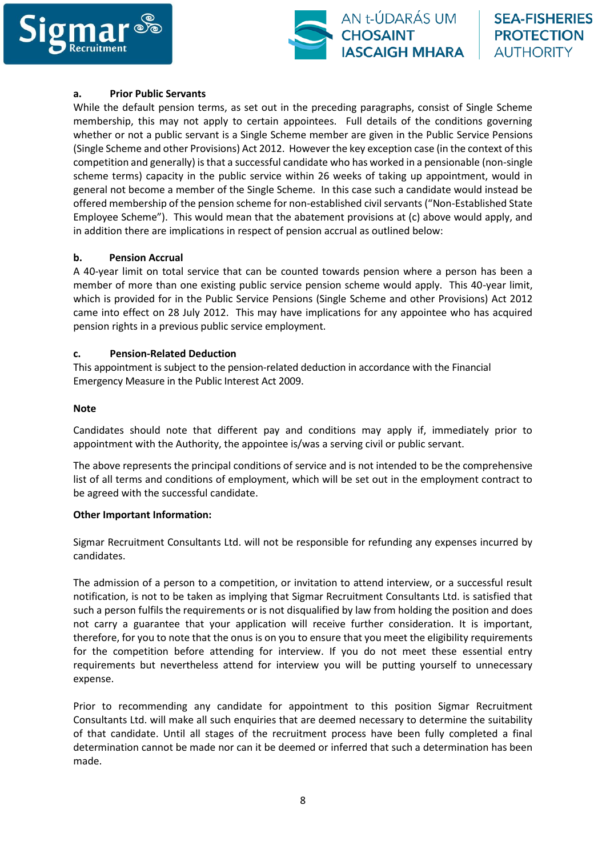



#### **a. Prior Public Servants**

While the default pension terms, as set out in the preceding paragraphs, consist of Single Scheme membership, this may not apply to certain appointees. Full details of the conditions governing whether or not a public servant is a Single Scheme member are given in the Public Service Pensions (Single Scheme and other Provisions) Act 2012. However the key exception case (in the context of this competition and generally) is that a successful candidate who has worked in a pensionable (non-single scheme terms) capacity in the public service within 26 weeks of taking up appointment, would in general not become a member of the Single Scheme. In this case such a candidate would instead be offered membership of the pension scheme for non-established civil servants ("Non-Established State Employee Scheme"). This would mean that the abatement provisions at (c) above would apply, and in addition there are implications in respect of pension accrual as outlined below:

#### **b. Pension Accrual**

A 40-year limit on total service that can be counted towards pension where a person has been a member of more than one existing public service pension scheme would apply. This 40-year limit, which is provided for in the Public Service Pensions (Single Scheme and other Provisions) Act 2012 came into effect on 28 July 2012. This may have implications for any appointee who has acquired pension rights in a previous public service employment.

## **c. Pension-Related Deduction**

This appointment is subject to the pension-related deduction in accordance with the Financial Emergency Measure in the Public Interest Act 2009.

#### **Note**

Candidates should note that different pay and conditions may apply if, immediately prior to appointment with the Authority, the appointee is/was a serving civil or public servant.

The above represents the principal conditions of service and is not intended to be the comprehensive list of all terms and conditions of employment, which will be set out in the employment contract to be agreed with the successful candidate.

#### **Other Important Information:**

Sigmar Recruitment Consultants Ltd. will not be responsible for refunding any expenses incurred by candidates.

The admission of a person to a competition, or invitation to attend interview, or a successful result notification, is not to be taken as implying that Sigmar Recruitment Consultants Ltd. is satisfied that such a person fulfils the requirements or is not disqualified by law from holding the position and does not carry a guarantee that your application will receive further consideration. It is important, therefore, for you to note that the onus is on you to ensure that you meet the eligibility requirements for the competition before attending for interview. If you do not meet these essential entry requirements but nevertheless attend for interview you will be putting yourself to unnecessary expense.

Prior to recommending any candidate for appointment to this position Sigmar Recruitment Consultants Ltd. will make all such enquiries that are deemed necessary to determine the suitability of that candidate. Until all stages of the recruitment process have been fully completed a final determination cannot be made nor can it be deemed or inferred that such a determination has been made.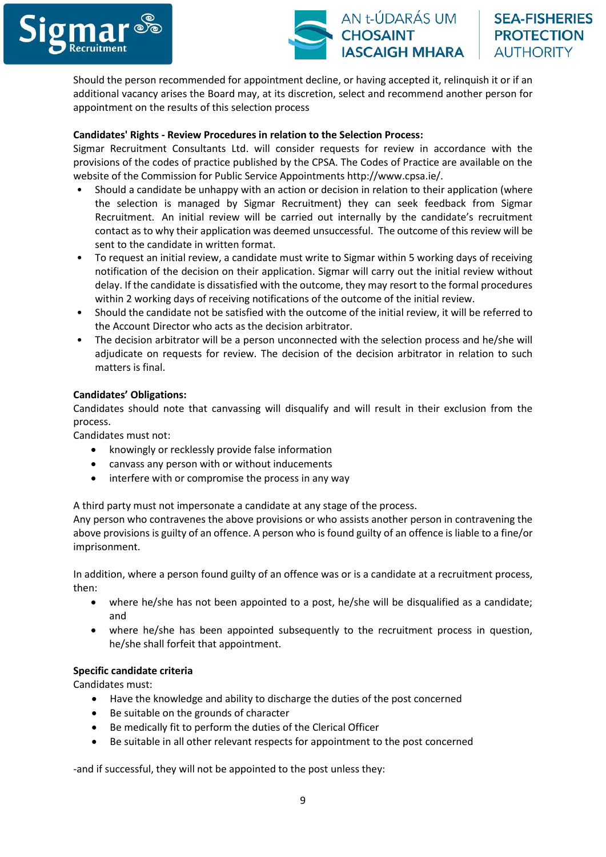

Should the person recommended for appointment decline, or having accepted it, relinquish it or if an additional vacancy arises the Board may, at its discretion, select and recommend another person for appointment on the results of this selection process

## **Candidates' Rights - Review Procedures in relation to the Selection Process:**

Sigmar Recruitment Consultants Ltd. will consider requests for review in accordance with the provisions of the codes of practice published by the CPSA. The Codes of Practice are available on the website of the Commission for Public Service Appointments http://www.cpsa.ie/.

- Should a candidate be unhappy with an action or decision in relation to their application (where the selection is managed by Sigmar Recruitment) they can seek feedback from Sigmar Recruitment. An initial review will be carried out internally by the candidate's recruitment contact as to why their application was deemed unsuccessful. The outcome of this review will be sent to the candidate in written format.
- To request an initial review, a candidate must write to Sigmar within 5 working days of receiving notification of the decision on their application. Sigmar will carry out the initial review without delay. If the candidate is dissatisfied with the outcome, they may resort to the formal procedures within 2 working days of receiving notifications of the outcome of the initial review.
- Should the candidate not be satisfied with the outcome of the initial review, it will be referred to the Account Director who acts as the decision arbitrator.
- The decision arbitrator will be a person unconnected with the selection process and he/she will adjudicate on requests for review. The decision of the decision arbitrator in relation to such matters is final.

## **Candidates' Obligations:**

Candidates should note that canvassing will disqualify and will result in their exclusion from the process.

Candidates must not:

- knowingly or recklessly provide false information
- canvass any person with or without inducements
- interfere with or compromise the process in any way

A third party must not impersonate a candidate at any stage of the process.

Any person who contravenes the above provisions or who assists another person in contravening the above provisions is guilty of an offence. A person who is found guilty of an offence is liable to a fine/or imprisonment.

In addition, where a person found guilty of an offence was or is a candidate at a recruitment process, then:

- where he/she has not been appointed to a post, he/she will be disqualified as a candidate; and
- where he/she has been appointed subsequently to the recruitment process in question, he/she shall forfeit that appointment.

#### **Specific candidate criteria**

Candidates must:

- Have the knowledge and ability to discharge the duties of the post concerned
- Be suitable on the grounds of character
- Be medically fit to perform the duties of the Clerical Officer
- Be suitable in all other relevant respects for appointment to the post concerned

-and if successful, they will not be appointed to the post unless they: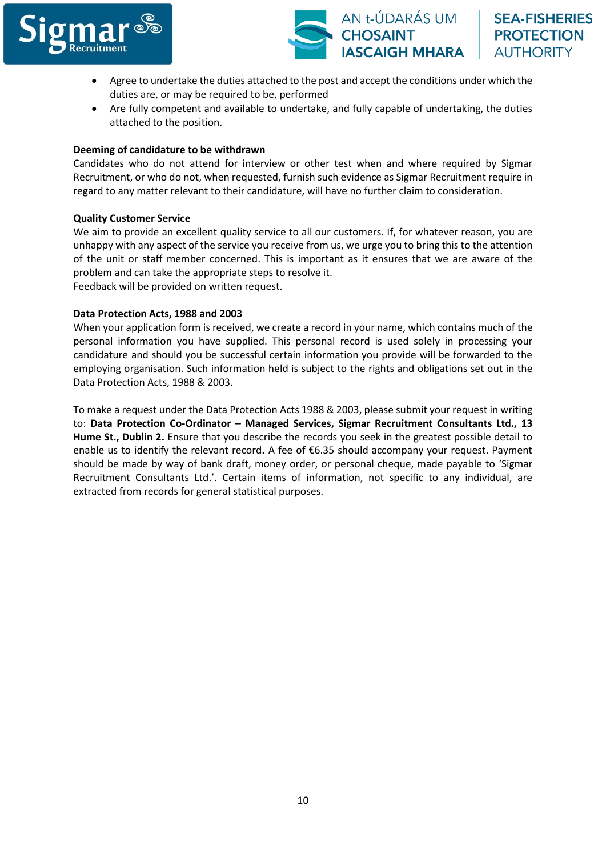

- Agree to undertake the duties attached to the post and accept the conditions under which the duties are, or may be required to be, performed
- Are fully competent and available to undertake, and fully capable of undertaking, the duties attached to the position.

## **Deeming of candidature to be withdrawn**

Candidates who do not attend for interview or other test when and where required by Sigmar Recruitment, or who do not, when requested, furnish such evidence as Sigmar Recruitment require in regard to any matter relevant to their candidature, will have no further claim to consideration.

## **Quality Customer Service**

We aim to provide an excellent quality service to all our customers. If, for whatever reason, you are unhappy with any aspect of the service you receive from us, we urge you to bring this to the attention of the unit or staff member concerned. This is important as it ensures that we are aware of the problem and can take the appropriate steps to resolve it.

Feedback will be provided on written request.

## **Data Protection Acts, 1988 and 2003**

When your application form is received, we create a record in your name, which contains much of the personal information you have supplied. This personal record is used solely in processing your candidature and should you be successful certain information you provide will be forwarded to the employing organisation. Such information held is subject to the rights and obligations set out in the Data Protection Acts, 1988 & 2003.

To make a request under the Data Protection Acts 1988 & 2003, please submit your request in writing to: **Data Protection Co-Ordinator – Managed Services, Sigmar Recruitment Consultants Ltd., 13 Hume St., Dublin 2.** Ensure that you describe the records you seek in the greatest possible detail to enable us to identify the relevant record**.** A fee of €6.35 should accompany your request. Payment should be made by way of bank draft, money order, or personal cheque, made payable to 'Sigmar Recruitment Consultants Ltd.'. Certain items of information, not specific to any individual, are extracted from records for general statistical purposes.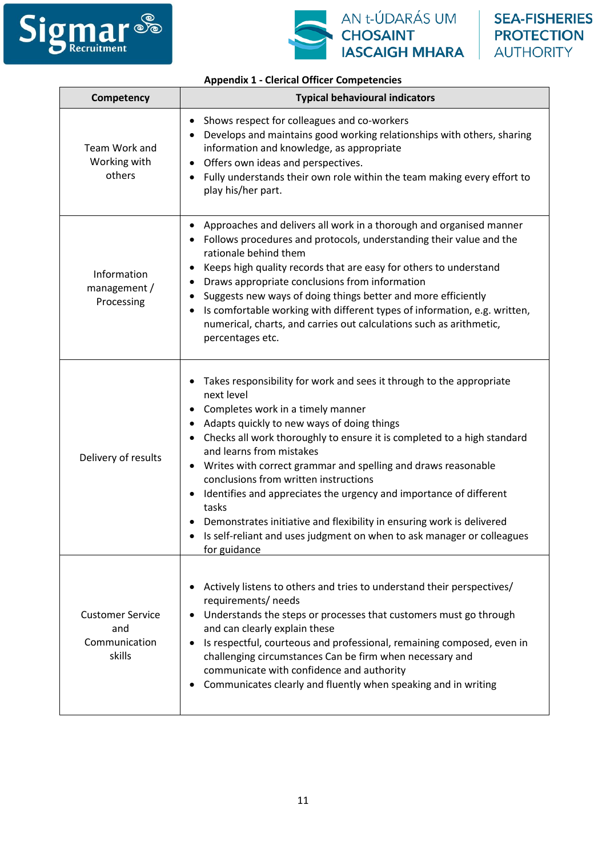



## **Appendix 1 - Clerical Officer Competencies**

| Competency                                                | <b>Typical behavioural indicators</b>                                                                                                                                                                                                                                                                                                                                                                                                                                                                                                                                                                                                      |  |  |
|-----------------------------------------------------------|--------------------------------------------------------------------------------------------------------------------------------------------------------------------------------------------------------------------------------------------------------------------------------------------------------------------------------------------------------------------------------------------------------------------------------------------------------------------------------------------------------------------------------------------------------------------------------------------------------------------------------------------|--|--|
| Team Work and<br>Working with<br>others                   | Shows respect for colleagues and co-workers<br>$\bullet$<br>Develops and maintains good working relationships with others, sharing<br>information and knowledge, as appropriate<br>Offers own ideas and perspectives.<br>Fully understands their own role within the team making every effort to<br>play his/her part.                                                                                                                                                                                                                                                                                                                     |  |  |
| Information<br>management /<br>Processing                 | Approaches and delivers all work in a thorough and organised manner<br>• Follows procedures and protocols, understanding their value and the<br>rationale behind them<br>Keeps high quality records that are easy for others to understand<br>Draws appropriate conclusions from information<br>٠<br>Suggests new ways of doing things better and more efficiently<br>Is comfortable working with different types of information, e.g. written,<br>numerical, charts, and carries out calculations such as arithmetic,<br>percentages etc.                                                                                                 |  |  |
| Delivery of results                                       | Takes responsibility for work and sees it through to the appropriate<br>next level<br>Completes work in a timely manner<br>Adapts quickly to new ways of doing things<br>Checks all work thoroughly to ensure it is completed to a high standard<br>and learns from mistakes<br>• Writes with correct grammar and spelling and draws reasonable<br>conclusions from written instructions<br>Identifies and appreciates the urgency and importance of different<br>tasks<br>Demonstrates initiative and flexibility in ensuring work is delivered<br>Is self-reliant and uses judgment on when to ask manager or colleagues<br>for guidance |  |  |
| <b>Customer Service</b><br>and<br>Communication<br>skills | Actively listens to others and tries to understand their perspectives/<br>requirements/ needs<br>Understands the steps or processes that customers must go through<br>and can clearly explain these<br>Is respectful, courteous and professional, remaining composed, even in<br>challenging circumstances Can be firm when necessary and<br>communicate with confidence and authority<br>Communicates clearly and fluently when speaking and in writing                                                                                                                                                                                   |  |  |